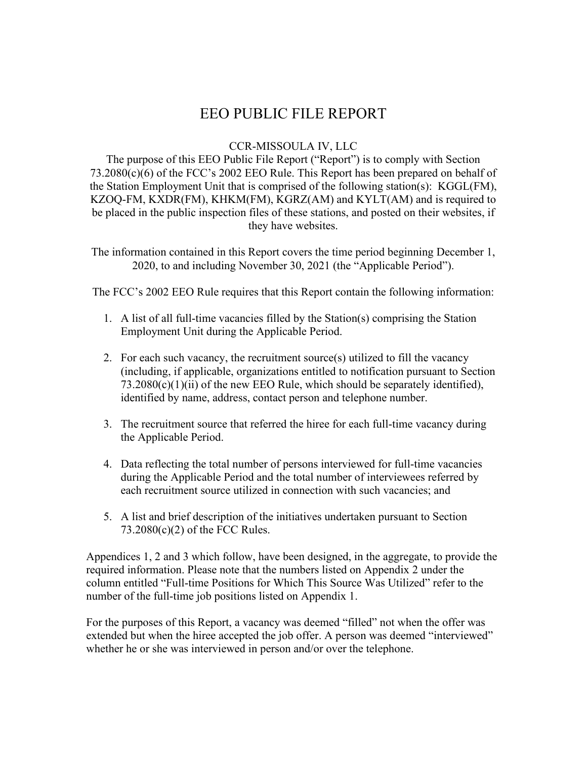# EEO PUBLIC FILE REPORT

#### CCR-MISSOULA IV, LLC

The purpose of this EEO Public File Report ("Report") is to comply with Section 73.2080(c)(6) of the FCC's 2002 EEO Rule. This Report has been prepared on behalf of the Station Employment Unit that is comprised of the following station(s): KGGL(FM), KZOQ-FM, KXDR(FM), KHKM(FM), KGRZ(AM) and KYLT(AM) and is required to be placed in the public inspection files of these stations, and posted on their websites, if they have websites.

The information contained in this Report covers the time period beginning December 1, 2020, to and including November 30, 2021 (the "Applicable Period").

The FCC's 2002 EEO Rule requires that this Report contain the following information:

- 1. A list of all full-time vacancies filled by the Station(s) comprising the Station Employment Unit during the Applicable Period.
- 2. For each such vacancy, the recruitment source(s) utilized to fill the vacancy (including, if applicable, organizations entitled to notification pursuant to Section  $73.2080(c)(1)(ii)$  of the new EEO Rule, which should be separately identified), identified by name, address, contact person and telephone number.
- 3. The recruitment source that referred the hiree for each full-time vacancy during the Applicable Period.
- 4. Data reflecting the total number of persons interviewed for full-time vacancies during the Applicable Period and the total number of interviewees referred by each recruitment source utilized in connection with such vacancies; and
- 5. A list and brief description of the initiatives undertaken pursuant to Section 73.2080(c)(2) of the FCC Rules.

Appendices 1, 2 and 3 which follow, have been designed, in the aggregate, to provide the required information. Please note that the numbers listed on Appendix 2 under the column entitled "Full-time Positions for Which This Source Was Utilized" refer to the number of the full-time job positions listed on Appendix 1.

For the purposes of this Report, a vacancy was deemed "filled" not when the offer was extended but when the hiree accepted the job offer. A person was deemed "interviewed" whether he or she was interviewed in person and/or over the telephone.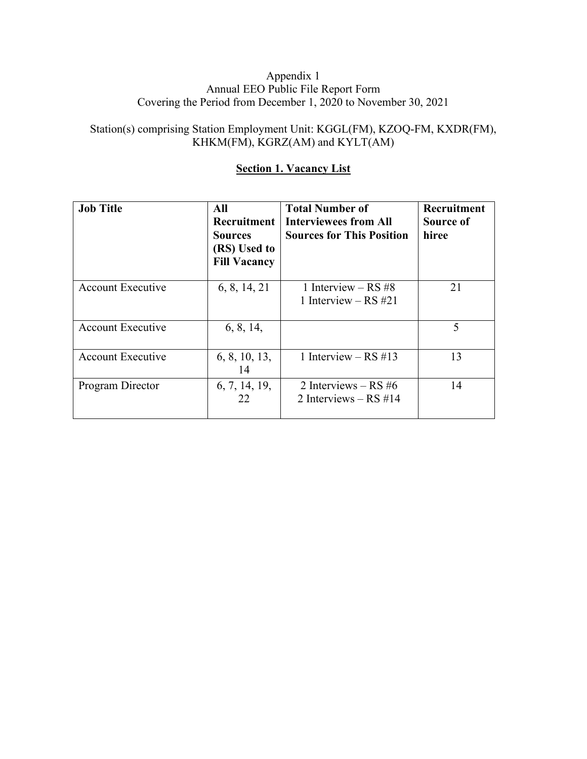#### Appendix 1 Annual EEO Public File Report Form Covering the Period from December 1, 2020 to November 30, 2021

## Station(s) comprising Station Employment Unit: KGGL(FM), KZOQ-FM, KXDR(FM), KHKM(FM), KGRZ(AM) and KYLT(AM)

### **Section 1. Vacancy List**

| <b>Job Title</b>         | All<br><b>Recruitment</b><br><b>Sources</b><br>(RS) Used to<br><b>Fill Vacancy</b> | <b>Total Number of</b><br><b>Interviewees from All</b><br><b>Sources for This Position</b> | Recruitment<br>Source of<br>hiree |
|--------------------------|------------------------------------------------------------------------------------|--------------------------------------------------------------------------------------------|-----------------------------------|
| <b>Account Executive</b> | 6, 8, 14, 21                                                                       | 1 Interview $-$ RS #8<br>1 Interview – RS $\#21$                                           | 21                                |
| <b>Account Executive</b> | 6, 8, 14,                                                                          |                                                                                            | 5                                 |
| <b>Account Executive</b> | 6, 8, 10, 13,<br>14                                                                | 1 Interview $-$ RS #13                                                                     | 13                                |
| Program Director         | 6, 7, 14, 19,<br>22                                                                | 2 Interviews $-$ RS #6<br>2 Interviews $-$ RS #14                                          | 14                                |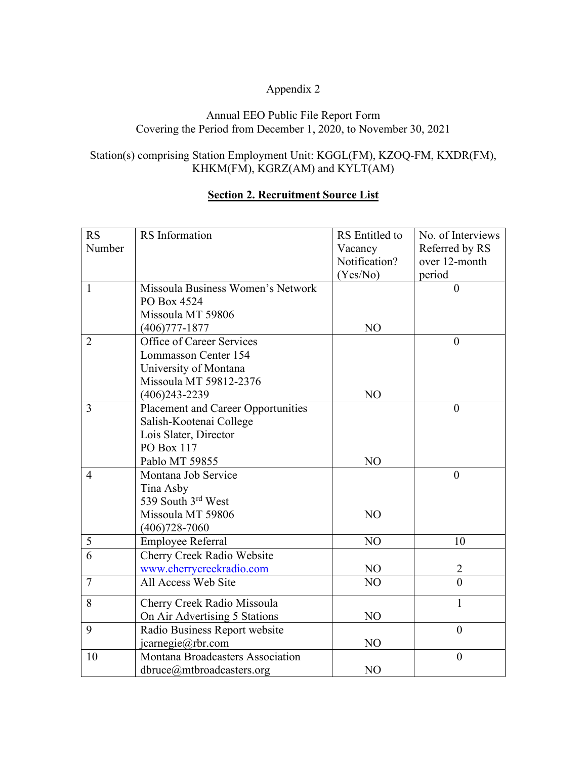## Appendix 2

#### Annual EEO Public File Report Form Covering the Period from December 1, 2020, to November 30, 2021

## Station(s) comprising Station Employment Unit: KGGL(FM), KZOQ-FM, KXDR(FM), KHKM(FM), KGRZ(AM) and KYLT(AM)

#### **Section 2. Recruitment Source List**

| <b>RS</b>      | RS Information                     | RS Entitled to | No. of Interviews |
|----------------|------------------------------------|----------------|-------------------|
| Number         |                                    | Vacancy        | Referred by RS    |
|                |                                    | Notification?  | over 12-month     |
|                |                                    | (Yes/No)       | period            |
| $\mathbf{1}$   | Missoula Business Women's Network  |                | $\theta$          |
|                | PO Box 4524                        |                |                   |
|                | Missoula MT 59806                  |                |                   |
|                | $(406)777 - 1877$                  | NO             |                   |
| $\overline{2}$ | Office of Career Services          |                | $\theta$          |
|                | Lommasson Center 154               |                |                   |
|                | University of Montana              |                |                   |
|                | Missoula MT 59812-2376             |                |                   |
|                | $(406)$ 243-2239                   | NO             |                   |
| $\overline{3}$ | Placement and Career Opportunities |                | $\overline{0}$    |
|                | Salish-Kootenai College            |                |                   |
|                | Lois Slater, Director              |                |                   |
|                | PO Box 117                         |                |                   |
|                | Pablo MT 59855                     | NO             |                   |
| $\overline{4}$ | Montana Job Service                |                | $\boldsymbol{0}$  |
|                | Tina Asby                          |                |                   |
|                | 539 South 3rd West                 |                |                   |
|                | Missoula MT 59806                  | NO             |                   |
|                | $(406)728 - 7060$                  |                |                   |
| 5              | Employee Referral                  | NO             | 10                |
| 6              | Cherry Creek Radio Website         |                |                   |
|                | www.cherrycreekradio.com           | NO             | $\overline{2}$    |
| $\tau$         | All Access Web Site                | NO             | $\overline{0}$    |
| 8              | Cherry Creek Radio Missoula        |                | $\mathbf{1}$      |
|                | On Air Advertising 5 Stations      | NO             |                   |
| 9              | Radio Business Report website      |                | $\overline{0}$    |
|                | icarnegie@rbr.com                  | NO             |                   |
| 10             | Montana Broadcasters Association   |                | $\boldsymbol{0}$  |
|                | dbruce@mtbroadcasters.org          | NO             |                   |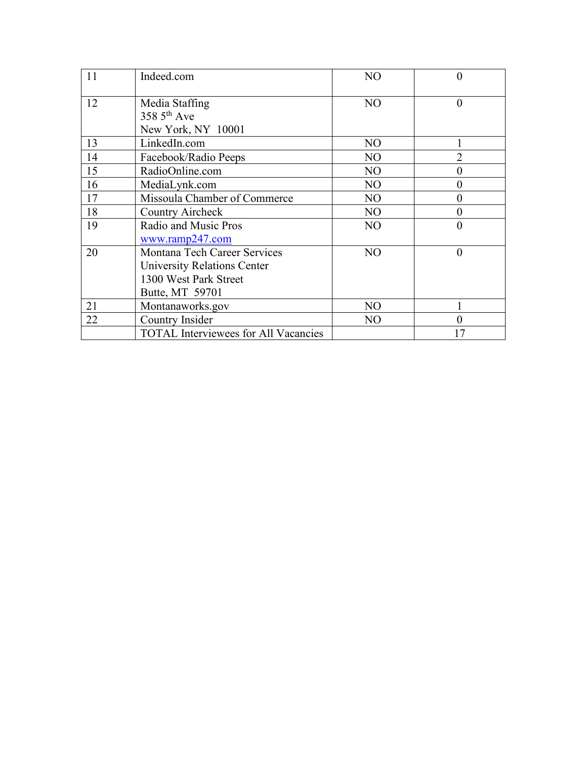| 11 | Indeed.com                                                                                                     | N <sub>O</sub> | $\overline{0}$   |
|----|----------------------------------------------------------------------------------------------------------------|----------------|------------------|
| 12 | Media Staffing<br>358 $5th$ Ave<br>New York, NY 10001                                                          | N <sub>O</sub> | $\theta$         |
| 13 | LinkedIn.com                                                                                                   | N <sub>O</sub> |                  |
| 14 | Facebook/Radio Peeps                                                                                           | N <sub>O</sub> | $\overline{2}$   |
| 15 | RadioOnline.com                                                                                                | N <sub>O</sub> | $\overline{0}$   |
| 16 | MediaLynk.com                                                                                                  | N <sub>O</sub> | $\overline{0}$   |
| 17 | Missoula Chamber of Commerce                                                                                   | N <sub>O</sub> | $\overline{0}$   |
| 18 | Country Aircheck                                                                                               | N <sub>O</sub> | $\boldsymbol{0}$ |
| 19 | Radio and Music Pros<br>www.ramp247.com                                                                        | N <sub>O</sub> | $\boldsymbol{0}$ |
| 20 | Montana Tech Career Services<br><b>University Relations Center</b><br>1300 West Park Street<br>Butte, MT 59701 | N <sub>O</sub> | $\theta$         |
| 21 | Montanaworks.gov                                                                                               | N <sub>O</sub> |                  |
| 22 | Country Insider                                                                                                | N <sub>O</sub> | $\overline{0}$   |
|    | <b>TOTAL Interviewees for All Vacancies</b>                                                                    |                |                  |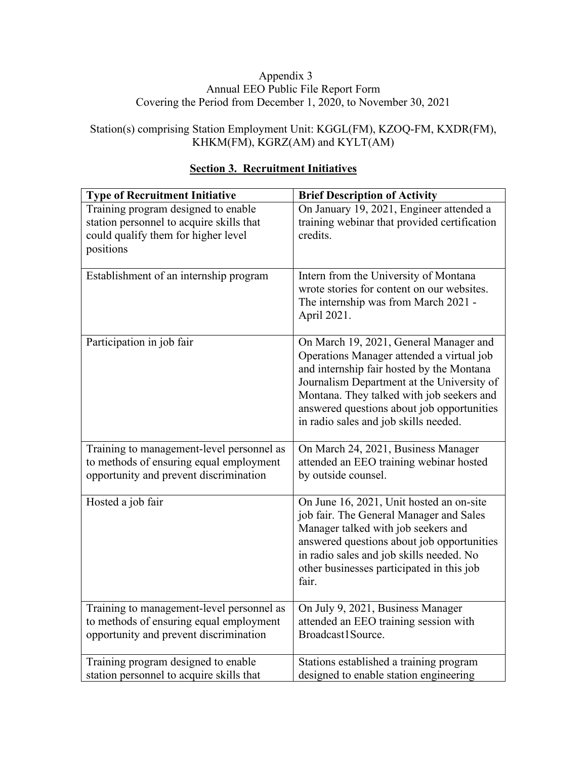#### Appendix 3 Annual EEO Public File Report Form Covering the Period from December 1, 2020, to November 30, 2021

## Station(s) comprising Station Employment Unit: KGGL(FM), KZOQ-FM, KXDR(FM), KHKM(FM), KGRZ(AM) and KYLT(AM)

| <b>Type of Recruitment Initiative</b>                                                                                               | <b>Brief Description of Activity</b>                                                                                                                                                                                                                                                                               |
|-------------------------------------------------------------------------------------------------------------------------------------|--------------------------------------------------------------------------------------------------------------------------------------------------------------------------------------------------------------------------------------------------------------------------------------------------------------------|
| Training program designed to enable<br>station personnel to acquire skills that<br>could qualify them for higher level<br>positions | On January 19, 2021, Engineer attended a<br>training webinar that provided certification<br>credits.                                                                                                                                                                                                               |
| Establishment of an internship program                                                                                              | Intern from the University of Montana<br>wrote stories for content on our websites.<br>The internship was from March 2021 -<br>April 2021.                                                                                                                                                                         |
| Participation in job fair                                                                                                           | On March 19, 2021, General Manager and<br>Operations Manager attended a virtual job<br>and internship fair hosted by the Montana<br>Journalism Department at the University of<br>Montana. They talked with job seekers and<br>answered questions about job opportunities<br>in radio sales and job skills needed. |
| Training to management-level personnel as<br>to methods of ensuring equal employment<br>opportunity and prevent discrimination      | On March 24, 2021, Business Manager<br>attended an EEO training webinar hosted<br>by outside counsel.                                                                                                                                                                                                              |
| Hosted a job fair                                                                                                                   | On June 16, 2021, Unit hosted an on-site<br>job fair. The General Manager and Sales<br>Manager talked with job seekers and<br>answered questions about job opportunities<br>in radio sales and job skills needed. No<br>other businesses participated in this job<br>fair.                                         |
| Training to management-level personnel as<br>to methods of ensuring equal employment<br>opportunity and prevent discrimination      | On July 9, 2021, Business Manager<br>attended an EEO training session with<br>Broadcast1Source.                                                                                                                                                                                                                    |
| Training program designed to enable<br>station personnel to acquire skills that                                                     | Stations established a training program<br>designed to enable station engineering                                                                                                                                                                                                                                  |

### **Section 3. Recruitment Initiatives**